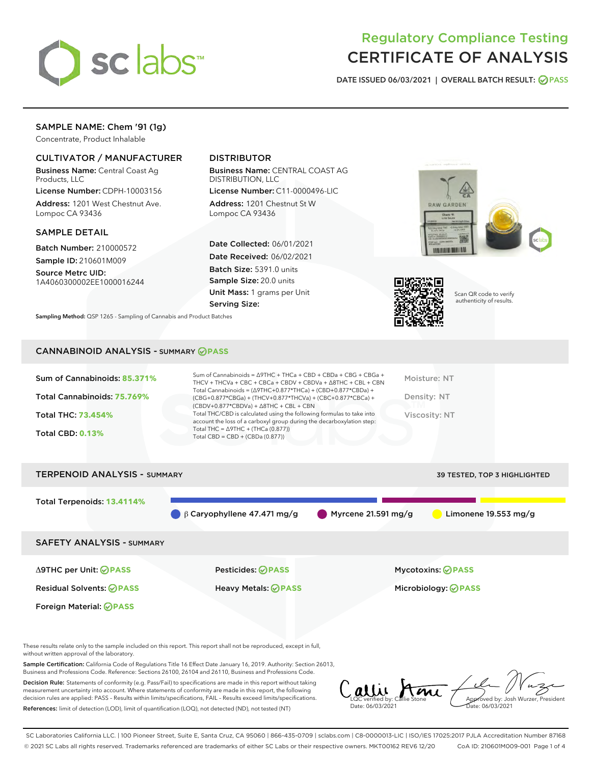

# Regulatory Compliance Testing CERTIFICATE OF ANALYSIS

DATE ISSUED 06/03/2021 | OVERALL BATCH RESULT: @ PASS

## SAMPLE NAME: Chem '91 (1g)

Concentrate, Product Inhalable

## CULTIVATOR / MANUFACTURER

Business Name: Central Coast Ag Products, LLC

License Number: CDPH-10003156 Address: 1201 West Chestnut Ave. Lompoc CA 93436

#### SAMPLE DETAIL

Batch Number: 210000572 Sample ID: 210601M009

Source Metrc UID: 1A4060300002EE1000016244

## DISTRIBUTOR

Business Name: CENTRAL COAST AG DISTRIBUTION, LLC

License Number: C11-0000496-LIC Address: 1201 Chestnut St W Lompoc CA 93436

Date Collected: 06/01/2021 Date Received: 06/02/2021 Batch Size: 5391.0 units Sample Size: 20.0 units Unit Mass: 1 grams per Unit Serving Size:





Scan QR code to verify authenticity of results.

Sampling Method: QSP 1265 - Sampling of Cannabis and Product Batches

## CANNABINOID ANALYSIS - SUMMARY **PASS**

| Sum of Cannabinoids: 85.371% | Sum of Cannabinoids = $\triangle$ 9THC + THCa + CBD + CBDa + CBG + CBGa +<br>THCV + THCVa + CBC + CBCa + CBDV + CBDVa + $\Delta$ 8THC + CBL + CBN                                    | Moisture: NT  |
|------------------------------|--------------------------------------------------------------------------------------------------------------------------------------------------------------------------------------|---------------|
| Total Cannabinoids: 75.769%  | Total Cannabinoids = $(\Delta$ 9THC+0.877*THCa) + (CBD+0.877*CBDa) +<br>(CBG+0.877*CBGa) + (THCV+0.877*THCVa) + (CBC+0.877*CBCa) +<br>$(CBDV+0.877*CBDVa) + \Delta 8THC + CBL + CBN$ | Density: NT   |
| <b>Total THC: 73.454%</b>    | Total THC/CBD is calculated using the following formulas to take into<br>account the loss of a carboxyl group during the decarboxylation step:                                       | Viscosity: NT |
| <b>Total CBD: 0.13%</b>      | Total THC = $\triangle$ 9THC + (THCa (0.877))<br>Total CBD = $CBD + (CBDa (0.877))$                                                                                                  |               |
|                              |                                                                                                                                                                                      |               |



These results relate only to the sample included on this report. This report shall not be reproduced, except in full, without written approval of the laboratory.

Sample Certification: California Code of Regulations Title 16 Effect Date January 16, 2019. Authority: Section 26013, Business and Professions Code. Reference: Sections 26100, 26104 and 26110, Business and Professions Code.

Decision Rule: Statements of conformity (e.g. Pass/Fail) to specifications are made in this report without taking measurement uncertainty into account. Where statements of conformity are made in this report, the following decision rules are applied: PASS – Results within limits/specifications, FAIL – Results exceed limits/specifications. References: limit of detection (LOD), limit of quantification (LOQ), not detected (ND), not tested (NT)

allie Ame Approved by: Josh Wurzer, President LQC verified by: Callie Stone te: 06/03/2021 Date: 06/03/2021

SC Laboratories California LLC. | 100 Pioneer Street, Suite E, Santa Cruz, CA 95060 | 866-435-0709 | sclabs.com | C8-0000013-LIC | ISO/IES 17025:2017 PJLA Accreditation Number 87168 © 2021 SC Labs all rights reserved. Trademarks referenced are trademarks of either SC Labs or their respective owners. MKT00162 REV6 12/20 CoA ID: 210601M009-001 Page 1 of 4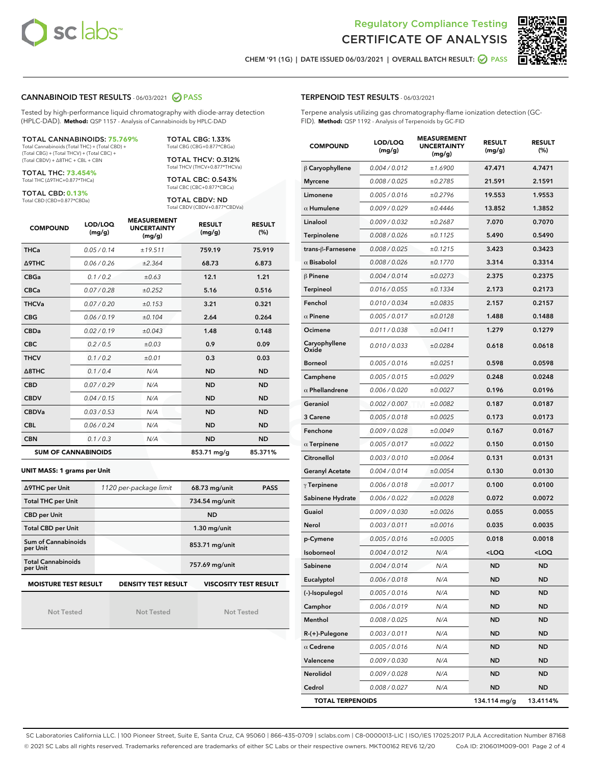



CHEM '91 (1G) | DATE ISSUED 06/03/2021 | OVERALL BATCH RESULT: 2 PASS

#### CANNABINOID TEST RESULTS - 06/03/2021 2 PASS

Tested by high-performance liquid chromatography with diode-array detection (HPLC-DAD). **Method:** QSP 1157 - Analysis of Cannabinoids by HPLC-DAD

#### TOTAL CANNABINOIDS: **75.769%** Total Cannabinoids (Total THC) + (Total CBD) +

(Total CBG) + (Total THCV) + (Total CBC) + (Total CBDV) + ∆8THC + CBL + CBN

TOTAL THC: **73.454%** Total THC (∆9THC+0.877\*THCa)

TOTAL CBD: **0.13%**

Total CBD (CBD+0.877\*CBDa)

TOTAL CBG: 1.33% Total CBG (CBG+0.877\*CBGa)

TOTAL THCV: 0.312% Total THCV (THCV+0.877\*THCVa)

TOTAL CBC: 0.543% Total CBC (CBC+0.877\*CBCa)

TOTAL CBDV: ND Total CBDV (CBDV+0.877\*CBDVa)

| <b>COMPOUND</b>  | LOD/LOQ<br>(mg/g)          | <b>MEASUREMENT</b><br><b>UNCERTAINTY</b><br>(mg/g) | <b>RESULT</b><br>(mg/g) | <b>RESULT</b><br>(%) |
|------------------|----------------------------|----------------------------------------------------|-------------------------|----------------------|
| <b>THCa</b>      | 0.05/0.14                  | ±19.511                                            | 759.19                  | 75.919               |
| <b>A9THC</b>     | 0.06 / 0.26                | ±2.364                                             | 68.73                   | 6.873                |
| <b>CBGa</b>      | 0.1 / 0.2                  | ±0.63                                              | 12.1                    | 1.21                 |
| <b>CBCa</b>      | 0.07/0.28                  | ±0.252                                             | 5.16                    | 0.516                |
| <b>THCVa</b>     | 0.07/0.20                  | ±0.153                                             | 3.21                    | 0.321                |
| <b>CBG</b>       | 0.06/0.19                  | ±0.104                                             | 2.64                    | 0.264                |
| <b>CBDa</b>      | 0.02/0.19                  | ±0.043                                             | 1.48                    | 0.148                |
| <b>CBC</b>       | 0.2 / 0.5                  | ±0.03                                              | 0.9                     | 0.09                 |
| <b>THCV</b>      | 0.1/0.2                    | ±0.01                                              | 0.3                     | 0.03                 |
| $\triangle$ 8THC | 0.1/0.4                    | N/A                                                | <b>ND</b>               | <b>ND</b>            |
| <b>CBD</b>       | 0.07/0.29                  | N/A                                                | <b>ND</b>               | <b>ND</b>            |
| <b>CBDV</b>      | 0.04 / 0.15                | N/A                                                | <b>ND</b>               | <b>ND</b>            |
| <b>CBDVa</b>     | 0.03/0.53                  | N/A                                                | <b>ND</b>               | <b>ND</b>            |
| <b>CBL</b>       | 0.06 / 0.24                | N/A                                                | <b>ND</b>               | <b>ND</b>            |
| <b>CBN</b>       | 0.1/0.3                    | N/A                                                | <b>ND</b>               | <b>ND</b>            |
|                  | <b>SUM OF CANNABINOIDS</b> |                                                    | 853.71 mg/g             | 85.371%              |

#### **UNIT MASS: 1 grams per Unit**

| ∆9THC per Unit                                                                            | 1120 per-package limit | 68.73 mg/unit<br><b>PASS</b> |  |  |
|-------------------------------------------------------------------------------------------|------------------------|------------------------------|--|--|
| <b>Total THC per Unit</b>                                                                 |                        | 734.54 mg/unit               |  |  |
| <b>CBD per Unit</b>                                                                       |                        | <b>ND</b>                    |  |  |
| <b>Total CBD per Unit</b>                                                                 |                        | $1.30$ mg/unit               |  |  |
| Sum of Cannabinoids<br>per Unit                                                           |                        | 853.71 mg/unit               |  |  |
| <b>Total Cannabinoids</b><br>per Unit                                                     |                        | 757.69 mg/unit               |  |  |
| <b>VISCOSITY TEST RESULT</b><br><b>MOISTURE TEST RESULT</b><br><b>DENSITY TEST RESULT</b> |                        |                              |  |  |

Not Tested

Not Tested

Not Tested

#### TERPENOID TEST RESULTS - 06/03/2021

Terpene analysis utilizing gas chromatography-flame ionization detection (GC-FID). **Method:** QSP 1192 - Analysis of Terpenoids by GC-FID

| <b>COMPOUND</b>         | LOD/LOQ<br>(mg/g) | <b>MEASUREMENT</b><br><b>UNCERTAINTY</b><br>(mg/g) | <b>RESULT</b><br><b>RESULT</b><br>$(\%)$<br>(mg/g) |                     |
|-------------------------|-------------------|----------------------------------------------------|----------------------------------------------------|---------------------|
| $\beta$ Caryophyllene   | 0.004 / 0.012     | ±1.6900                                            | 47.471                                             | 4.7471              |
| <b>Myrcene</b>          | 0.008 / 0.025     | ±0.2785                                            | 21.591                                             | 2.1591              |
| Limonene                | 0.005 / 0.016     | ±0.2796                                            | 19.553                                             | 1.9553              |
| $\alpha$ Humulene       | 0.009 / 0.029     | ±0.4446                                            | 13.852                                             | 1.3852              |
| Linalool                | 0.009 / 0.032     | ±0.2687                                            | 7.070                                              | 0.7070              |
| Terpinolene             | 0.008 / 0.026     | ±0.1125                                            | 5.490                                              | 0.5490              |
| trans-β-Farnesene       | 0.008 / 0.025     | ±0.1215                                            | 3.423                                              | 0.3423              |
| $\alpha$ Bisabolol      | 0.008 / 0.026     | ±0.1770                                            | 3.314                                              | 0.3314              |
| $\beta$ Pinene          | 0.004 / 0.014     | ±0.0273                                            | 2.375                                              | 0.2375              |
| Terpineol               | 0.016 / 0.055     | ±0.1334                                            | 2.173                                              | 0.2173              |
| Fenchol                 | 0.010 / 0.034     | ±0.0835                                            | 2.157                                              | 0.2157              |
| $\alpha$ Pinene         | 0.005 / 0.017     | ±0.0128                                            | 1.488                                              | 0.1488              |
| Ocimene                 | 0.011 / 0.038     | ±0.0411                                            | 1.279                                              | 0.1279              |
| Caryophyllene<br>Oxide  | 0.010 / 0.033     | ±0.0284                                            | 0.618                                              | 0.0618              |
| <b>Borneol</b>          | 0.005 / 0.016     | ±0.0251                                            | 0.598                                              | 0.0598              |
| Camphene                | 0.005 / 0.015     | ±0.0029                                            | 0.248                                              | 0.0248              |
| $\alpha$ Phellandrene   | 0.006 / 0.020     | ±0.0027                                            | 0.196                                              | 0.0196              |
| Geraniol                | 0.002 / 0.007     | ±0.0082                                            | 0.187                                              | 0.0187              |
| 3 Carene                | 0.005 / 0.018     | ±0.0025                                            | 0.173                                              | 0.0173              |
| Fenchone                | 0.009 / 0.028     | ±0.0049                                            | 0.167                                              | 0.0167              |
| $\alpha$ Terpinene      | 0.005 / 0.017     | ±0.0022                                            | 0.150                                              | 0.0150              |
| Citronellol             | 0.003 / 0.010     | ±0.0064                                            | 0.131                                              | 0.0131              |
| <b>Geranyl Acetate</b>  | 0.004 / 0.014     | ±0.0054                                            | 0.130                                              | 0.0130              |
| $\gamma$ Terpinene      | 0.006 / 0.018     | ±0.0017                                            | 0.100                                              | 0.0100              |
| Sabinene Hydrate        | 0.006 / 0.022     | ±0.0028                                            | 0.072                                              | 0.0072              |
| Guaiol                  | 0.009 / 0.030     | ±0.0026                                            | 0.055                                              | 0.0055              |
| Nerol                   | 0.003 / 0.011     | ±0.0016                                            | 0.035                                              | 0.0035              |
| p-Cymene                | 0.005 / 0.016     | ±0.0005                                            | 0.018                                              | 0.0018              |
| Isoborneol              | 0.004 / 0.012     | N/A                                                | <loq< th=""><th><loq< th=""></loq<></th></loq<>    | <loq< th=""></loq<> |
| Sabinene                | 0.004 / 0.014     | N/A                                                | <b>ND</b>                                          | <b>ND</b>           |
| Eucalyptol              | 0.006 / 0.018     | N/A                                                | ND                                                 | <b>ND</b>           |
| (-)-Isopulegol          | 0.005 / 0.016     | N/A                                                | ND                                                 | ND                  |
| Camphor                 | 0.006 / 0.019     | N/A                                                | ND                                                 | <b>ND</b>           |
| Menthol                 | 0.008 / 0.025     | N/A                                                | ND                                                 | <b>ND</b>           |
| R-(+)-Pulegone          | 0.003 / 0.011     | N/A                                                | ND                                                 | ND                  |
| $\alpha$ Cedrene        | 0.005 / 0.016     | N/A                                                | ND                                                 | ND                  |
| Valencene               | 0.009 / 0.030     | N/A                                                | ND                                                 | <b>ND</b>           |
| Nerolidol               | 0.009 / 0.028     | N/A                                                | ND                                                 | ND                  |
| Cedrol                  | 0.008 / 0.027     | N/A                                                | ND                                                 | <b>ND</b>           |
| <b>TOTAL TERPENOIDS</b> |                   |                                                    | 134.114 mg/g                                       | 13.4114%            |

SC Laboratories California LLC. | 100 Pioneer Street, Suite E, Santa Cruz, CA 95060 | 866-435-0709 | sclabs.com | C8-0000013-LIC | ISO/IES 17025:2017 PJLA Accreditation Number 87168 © 2021 SC Labs all rights reserved. Trademarks referenced are trademarks of either SC Labs or their respective owners. MKT00162 REV6 12/20 CoA ID: 210601M009-001 Page 2 of 4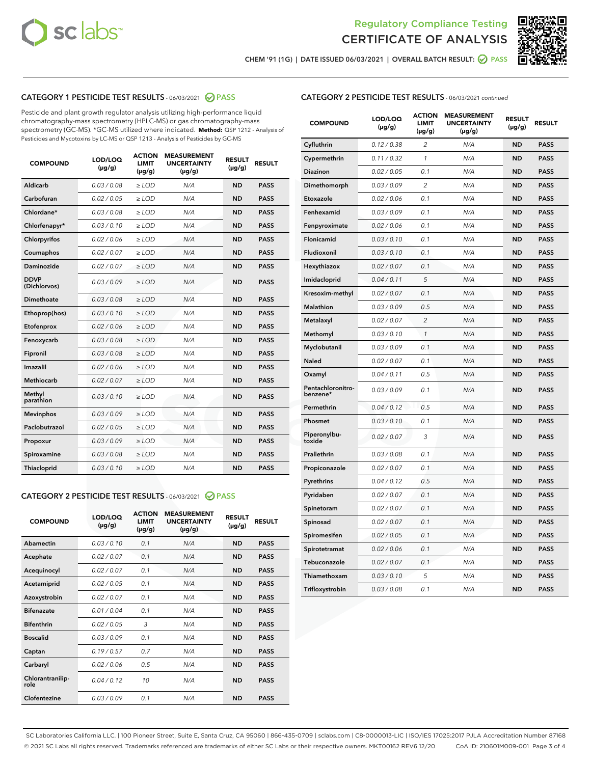



CHEM '91 (1G) | DATE ISSUED 06/03/2021 | OVERALL BATCH RESULT: 2 PASS

## CATEGORY 1 PESTICIDE TEST RESULTS - 06/03/2021 2 PASS

Pesticide and plant growth regulator analysis utilizing high-performance liquid chromatography-mass spectrometry (HPLC-MS) or gas chromatography-mass spectrometry (GC-MS). \*GC-MS utilized where indicated. **Method:** QSP 1212 - Analysis of Pesticides and Mycotoxins by LC-MS or QSP 1213 - Analysis of Pesticides by GC-MS

| 0.03 / 0.08<br><b>ND</b><br><b>PASS</b><br>Aldicarb<br>$\ge$ LOD<br>N/A<br>Carbofuran<br>0.02 / 0.05<br>N/A<br>$\ge$ LOD<br><b>ND</b><br><b>PASS</b><br>Chlordane*<br>0.03 / 0.08<br>$\ge$ LOD<br>N/A<br><b>ND</b><br><b>PASS</b><br>Chlorfenapyr*<br>0.03/0.10<br>$\ge$ LOD<br>N/A<br><b>ND</b><br><b>PASS</b><br>0.02 / 0.06<br>N/A<br><b>ND</b><br><b>PASS</b><br>Chlorpyrifos<br>$\ge$ LOD<br>N/A<br>Coumaphos<br>0.02 / 0.07<br><b>ND</b><br><b>PASS</b><br>$\ge$ LOD<br>Daminozide<br>0.02 / 0.07<br>N/A<br><b>ND</b><br><b>PASS</b><br>$\ge$ LOD<br><b>DDVP</b><br>0.03/0.09<br>$>$ LOD<br>N/A<br><b>ND</b><br><b>PASS</b><br>(Dichlorvos)<br>Dimethoate<br>0.03/0.08<br>$\ge$ LOD<br>N/A<br><b>PASS</b><br><b>ND</b><br>0.03 / 0.10<br>N/A<br><b>ND</b><br><b>PASS</b><br>Ethoprop(hos)<br>$>$ LOD<br>0.02 / 0.06<br>N/A<br><b>ND</b><br><b>PASS</b><br>$\ge$ LOD<br>Etofenprox<br>Fenoxycarb<br>0.03/0.08<br>$\ge$ LOD<br>N/A<br><b>ND</b><br><b>PASS</b><br>0.03/0.08<br>$\ge$ LOD<br>N/A<br><b>ND</b><br><b>PASS</b><br>Fipronil<br>Imazalil<br>0.02 / 0.06<br>$>$ LOD<br>N/A<br><b>ND</b><br><b>PASS</b><br><b>Methiocarb</b><br>0.02 / 0.07<br>$\ge$ LOD<br>N/A<br><b>ND</b><br><b>PASS</b><br>Methyl<br>0.03/0.10<br>N/A<br><b>ND</b><br>$\ge$ LOD<br><b>PASS</b><br>parathion<br>0.03/0.09<br><b>Mevinphos</b><br>$\ge$ LOD<br>N/A<br><b>ND</b><br><b>PASS</b><br>Paclobutrazol<br>0.02 / 0.05<br>N/A<br>$>$ LOD<br><b>ND</b><br><b>PASS</b><br>0.03/0.09<br>N/A<br>$\ge$ LOD<br><b>ND</b><br><b>PASS</b><br>Propoxur<br>0.03 / 0.08<br><b>ND</b><br><b>PASS</b><br>Spiroxamine<br>$\ge$ LOD<br>N/A<br>Thiacloprid<br>0.03/0.10<br>N/A<br><b>ND</b><br><b>PASS</b><br>$\ge$ LOD | <b>COMPOUND</b> | LOD/LOQ<br>$(\mu g/g)$ | <b>ACTION</b><br><b>LIMIT</b><br>$(\mu g/g)$ | <b>MEASUREMENT</b><br><b>UNCERTAINTY</b><br>$(\mu g/g)$ | <b>RESULT</b><br>$(\mu g/g)$ | <b>RESULT</b> |
|------------------------------------------------------------------------------------------------------------------------------------------------------------------------------------------------------------------------------------------------------------------------------------------------------------------------------------------------------------------------------------------------------------------------------------------------------------------------------------------------------------------------------------------------------------------------------------------------------------------------------------------------------------------------------------------------------------------------------------------------------------------------------------------------------------------------------------------------------------------------------------------------------------------------------------------------------------------------------------------------------------------------------------------------------------------------------------------------------------------------------------------------------------------------------------------------------------------------------------------------------------------------------------------------------------------------------------------------------------------------------------------------------------------------------------------------------------------------------------------------------------------------------------------------------------------------------------------------------------------------------------------------------------------------------------------------|-----------------|------------------------|----------------------------------------------|---------------------------------------------------------|------------------------------|---------------|
|                                                                                                                                                                                                                                                                                                                                                                                                                                                                                                                                                                                                                                                                                                                                                                                                                                                                                                                                                                                                                                                                                                                                                                                                                                                                                                                                                                                                                                                                                                                                                                                                                                                                                                |                 |                        |                                              |                                                         |                              |               |
|                                                                                                                                                                                                                                                                                                                                                                                                                                                                                                                                                                                                                                                                                                                                                                                                                                                                                                                                                                                                                                                                                                                                                                                                                                                                                                                                                                                                                                                                                                                                                                                                                                                                                                |                 |                        |                                              |                                                         |                              |               |
|                                                                                                                                                                                                                                                                                                                                                                                                                                                                                                                                                                                                                                                                                                                                                                                                                                                                                                                                                                                                                                                                                                                                                                                                                                                                                                                                                                                                                                                                                                                                                                                                                                                                                                |                 |                        |                                              |                                                         |                              |               |
|                                                                                                                                                                                                                                                                                                                                                                                                                                                                                                                                                                                                                                                                                                                                                                                                                                                                                                                                                                                                                                                                                                                                                                                                                                                                                                                                                                                                                                                                                                                                                                                                                                                                                                |                 |                        |                                              |                                                         |                              |               |
|                                                                                                                                                                                                                                                                                                                                                                                                                                                                                                                                                                                                                                                                                                                                                                                                                                                                                                                                                                                                                                                                                                                                                                                                                                                                                                                                                                                                                                                                                                                                                                                                                                                                                                |                 |                        |                                              |                                                         |                              |               |
|                                                                                                                                                                                                                                                                                                                                                                                                                                                                                                                                                                                                                                                                                                                                                                                                                                                                                                                                                                                                                                                                                                                                                                                                                                                                                                                                                                                                                                                                                                                                                                                                                                                                                                |                 |                        |                                              |                                                         |                              |               |
|                                                                                                                                                                                                                                                                                                                                                                                                                                                                                                                                                                                                                                                                                                                                                                                                                                                                                                                                                                                                                                                                                                                                                                                                                                                                                                                                                                                                                                                                                                                                                                                                                                                                                                |                 |                        |                                              |                                                         |                              |               |
|                                                                                                                                                                                                                                                                                                                                                                                                                                                                                                                                                                                                                                                                                                                                                                                                                                                                                                                                                                                                                                                                                                                                                                                                                                                                                                                                                                                                                                                                                                                                                                                                                                                                                                |                 |                        |                                              |                                                         |                              |               |
|                                                                                                                                                                                                                                                                                                                                                                                                                                                                                                                                                                                                                                                                                                                                                                                                                                                                                                                                                                                                                                                                                                                                                                                                                                                                                                                                                                                                                                                                                                                                                                                                                                                                                                |                 |                        |                                              |                                                         |                              |               |
|                                                                                                                                                                                                                                                                                                                                                                                                                                                                                                                                                                                                                                                                                                                                                                                                                                                                                                                                                                                                                                                                                                                                                                                                                                                                                                                                                                                                                                                                                                                                                                                                                                                                                                |                 |                        |                                              |                                                         |                              |               |
|                                                                                                                                                                                                                                                                                                                                                                                                                                                                                                                                                                                                                                                                                                                                                                                                                                                                                                                                                                                                                                                                                                                                                                                                                                                                                                                                                                                                                                                                                                                                                                                                                                                                                                |                 |                        |                                              |                                                         |                              |               |
|                                                                                                                                                                                                                                                                                                                                                                                                                                                                                                                                                                                                                                                                                                                                                                                                                                                                                                                                                                                                                                                                                                                                                                                                                                                                                                                                                                                                                                                                                                                                                                                                                                                                                                |                 |                        |                                              |                                                         |                              |               |
|                                                                                                                                                                                                                                                                                                                                                                                                                                                                                                                                                                                                                                                                                                                                                                                                                                                                                                                                                                                                                                                                                                                                                                                                                                                                                                                                                                                                                                                                                                                                                                                                                                                                                                |                 |                        |                                              |                                                         |                              |               |
|                                                                                                                                                                                                                                                                                                                                                                                                                                                                                                                                                                                                                                                                                                                                                                                                                                                                                                                                                                                                                                                                                                                                                                                                                                                                                                                                                                                                                                                                                                                                                                                                                                                                                                |                 |                        |                                              |                                                         |                              |               |
|                                                                                                                                                                                                                                                                                                                                                                                                                                                                                                                                                                                                                                                                                                                                                                                                                                                                                                                                                                                                                                                                                                                                                                                                                                                                                                                                                                                                                                                                                                                                                                                                                                                                                                |                 |                        |                                              |                                                         |                              |               |
|                                                                                                                                                                                                                                                                                                                                                                                                                                                                                                                                                                                                                                                                                                                                                                                                                                                                                                                                                                                                                                                                                                                                                                                                                                                                                                                                                                                                                                                                                                                                                                                                                                                                                                |                 |                        |                                              |                                                         |                              |               |
|                                                                                                                                                                                                                                                                                                                                                                                                                                                                                                                                                                                                                                                                                                                                                                                                                                                                                                                                                                                                                                                                                                                                                                                                                                                                                                                                                                                                                                                                                                                                                                                                                                                                                                |                 |                        |                                              |                                                         |                              |               |
|                                                                                                                                                                                                                                                                                                                                                                                                                                                                                                                                                                                                                                                                                                                                                                                                                                                                                                                                                                                                                                                                                                                                                                                                                                                                                                                                                                                                                                                                                                                                                                                                                                                                                                |                 |                        |                                              |                                                         |                              |               |
|                                                                                                                                                                                                                                                                                                                                                                                                                                                                                                                                                                                                                                                                                                                                                                                                                                                                                                                                                                                                                                                                                                                                                                                                                                                                                                                                                                                                                                                                                                                                                                                                                                                                                                |                 |                        |                                              |                                                         |                              |               |
|                                                                                                                                                                                                                                                                                                                                                                                                                                                                                                                                                                                                                                                                                                                                                                                                                                                                                                                                                                                                                                                                                                                                                                                                                                                                                                                                                                                                                                                                                                                                                                                                                                                                                                |                 |                        |                                              |                                                         |                              |               |
|                                                                                                                                                                                                                                                                                                                                                                                                                                                                                                                                                                                                                                                                                                                                                                                                                                                                                                                                                                                                                                                                                                                                                                                                                                                                                                                                                                                                                                                                                                                                                                                                                                                                                                |                 |                        |                                              |                                                         |                              |               |

#### CATEGORY 2 PESTICIDE TEST RESULTS - 06/03/2021 @ PASS

| <b>COMPOUND</b>          | LOD/LOO<br>$(\mu g/g)$ | <b>ACTION</b><br>LIMIT<br>$(\mu g/g)$ | <b>MEASUREMENT</b><br><b>UNCERTAINTY</b><br>$(\mu g/g)$ | <b>RESULT</b><br>$(\mu g/g)$ | <b>RESULT</b> |  |
|--------------------------|------------------------|---------------------------------------|---------------------------------------------------------|------------------------------|---------------|--|
| Abamectin                | 0.03/0.10              | 0.1                                   | N/A                                                     | <b>ND</b>                    | <b>PASS</b>   |  |
| Acephate                 | 0.02/0.07              | 0.1                                   | N/A                                                     | <b>ND</b>                    | <b>PASS</b>   |  |
| Acequinocyl              | 0.02/0.07              | 0.1                                   | N/A                                                     | <b>ND</b>                    | <b>PASS</b>   |  |
| Acetamiprid              | 0.02 / 0.05            | 0.1                                   | N/A                                                     | <b>ND</b>                    | <b>PASS</b>   |  |
| Azoxystrobin             | 0.02/0.07              | 0.1                                   | N/A                                                     | <b>ND</b>                    | <b>PASS</b>   |  |
| <b>Bifenazate</b>        | 0.01 / 0.04            | 0.1                                   | N/A                                                     | <b>ND</b>                    | <b>PASS</b>   |  |
| <b>Bifenthrin</b>        | 0.02 / 0.05            | 3                                     | N/A                                                     | <b>ND</b>                    | <b>PASS</b>   |  |
| <b>Boscalid</b>          | 0.03/0.09              | 0.1                                   | N/A                                                     | <b>ND</b>                    | <b>PASS</b>   |  |
| Captan                   | 0.19/0.57              | 0.7                                   | N/A                                                     | <b>ND</b>                    | <b>PASS</b>   |  |
| Carbaryl                 | 0.02/0.06              | 0.5                                   | N/A                                                     | <b>ND</b>                    | <b>PASS</b>   |  |
| Chlorantranilip-<br>role | 0.04/0.12              | 10                                    | N/A                                                     | <b>ND</b>                    | <b>PASS</b>   |  |
| Clofentezine             | 0.03/0.09              | 0.1                                   | N/A                                                     | <b>ND</b>                    | <b>PASS</b>   |  |

|  | <b>CATEGORY 2 PESTICIDE TEST RESULTS</b> - 06/03/2021 continued |  |
|--|-----------------------------------------------------------------|--|
|--|-----------------------------------------------------------------|--|

| <b>COMPOUND</b>               | LOD/LOQ<br>(µg/g) | <b>ACTION</b><br>LIMIT<br>$(\mu g/g)$ | <b>MEASUREMENT</b><br><b>UNCERTAINTY</b><br>$(\mu g/g)$ | <b>RESULT</b><br>(µg/g) | <b>RESULT</b> |
|-------------------------------|-------------------|---------------------------------------|---------------------------------------------------------|-------------------------|---------------|
| Cyfluthrin                    | 0.12 / 0.38       | 2                                     | N/A                                                     | <b>ND</b>               | <b>PASS</b>   |
| Cypermethrin                  | 0.11 / 0.32       | $\mathcal{I}$                         | N/A                                                     | <b>ND</b>               | <b>PASS</b>   |
| Diazinon                      | 0.02 / 0.05       | 0.1                                   | N/A                                                     | <b>ND</b>               | <b>PASS</b>   |
| Dimethomorph                  | 0.03 / 0.09       | 2                                     | N/A                                                     | <b>ND</b>               | <b>PASS</b>   |
| Etoxazole                     | 0.02 / 0.06       | 0.1                                   | N/A                                                     | <b>ND</b>               | <b>PASS</b>   |
| Fenhexamid                    | 0.03 / 0.09       | 0.1                                   | N/A                                                     | <b>ND</b>               | <b>PASS</b>   |
| Fenpyroximate                 | 0.02 / 0.06       | 0.1                                   | N/A                                                     | <b>ND</b>               | <b>PASS</b>   |
| Flonicamid                    | 0.03 / 0.10       | 0.1                                   | N/A                                                     | <b>ND</b>               | <b>PASS</b>   |
| Fludioxonil                   | 0.03 / 0.10       | 0.1                                   | N/A                                                     | <b>ND</b>               | <b>PASS</b>   |
| Hexythiazox                   | 0.02 / 0.07       | 0.1                                   | N/A                                                     | <b>ND</b>               | <b>PASS</b>   |
| Imidacloprid                  | 0.04 / 0.11       | 5                                     | N/A                                                     | <b>ND</b>               | <b>PASS</b>   |
| Kresoxim-methyl               | 0.02 / 0.07       | 0.1                                   | N/A                                                     | <b>ND</b>               | <b>PASS</b>   |
| Malathion                     | 0.03 / 0.09       | 0.5                                   | N/A                                                     | <b>ND</b>               | <b>PASS</b>   |
| Metalaxyl                     | 0.02 / 0.07       | $\overline{c}$                        | N/A                                                     | <b>ND</b>               | <b>PASS</b>   |
| Methomyl                      | 0.03 / 0.10       | $\mathcal{I}$                         | N/A                                                     | <b>ND</b>               | <b>PASS</b>   |
| Myclobutanil                  | 0.03 / 0.09       | 0.1                                   | N/A                                                     | <b>ND</b>               | <b>PASS</b>   |
| Naled                         | 0.02 / 0.07       | 0.1                                   | N/A                                                     | <b>ND</b>               | <b>PASS</b>   |
| Oxamyl                        | 0.04 / 0.11       | 0.5                                   | N/A                                                     | <b>ND</b>               | <b>PASS</b>   |
| Pentachloronitro-<br>benzene* | 0.03/0.09         | 0.1                                   | N/A                                                     | <b>ND</b>               | <b>PASS</b>   |
| Permethrin                    | 0.04 / 0.12       | 0.5                                   | N/A                                                     | <b>ND</b>               | <b>PASS</b>   |
| Phosmet                       | 0.03 / 0.10       | 0.1                                   | N/A                                                     | <b>ND</b>               | <b>PASS</b>   |
| Piperonylbu-<br>toxide        | 0.02 / 0.07       | 3                                     | N/A                                                     | <b>ND</b>               | <b>PASS</b>   |
| Prallethrin                   | 0.03 / 0.08       | 0.1                                   | N/A                                                     | <b>ND</b>               | <b>PASS</b>   |
| Propiconazole                 | 0.02 / 0.07       | 0.1                                   | N/A                                                     | <b>ND</b>               | <b>PASS</b>   |
| Pyrethrins                    | 0.04 / 0.12       | 0.5                                   | N/A                                                     | <b>ND</b>               | <b>PASS</b>   |
| Pyridaben                     | 0.02 / 0.07       | 0.1                                   | N/A                                                     | <b>ND</b>               | <b>PASS</b>   |
| Spinetoram                    | 0.02 / 0.07       | 0.1                                   | N/A                                                     | <b>ND</b>               | <b>PASS</b>   |
| Spinosad                      | 0.02 / 0.07       | 0.1                                   | N/A                                                     | <b>ND</b>               | <b>PASS</b>   |
| Spiromesifen                  | 0.02 / 0.05       | 0.1                                   | N/A                                                     | <b>ND</b>               | <b>PASS</b>   |
| Spirotetramat                 | 0.02 / 0.06       | 0.1                                   | N/A                                                     | <b>ND</b>               | <b>PASS</b>   |
| Tebuconazole                  | 0.02 / 0.07       | 0.1                                   | N/A                                                     | <b>ND</b>               | <b>PASS</b>   |
| Thiamethoxam                  | 0.03 / 0.10       | 5                                     | N/A                                                     | <b>ND</b>               | <b>PASS</b>   |
| Trifloxystrobin               | 0.03 / 0.08       | 0.1                                   | N/A                                                     | <b>ND</b>               | <b>PASS</b>   |

SC Laboratories California LLC. | 100 Pioneer Street, Suite E, Santa Cruz, CA 95060 | 866-435-0709 | sclabs.com | C8-0000013-LIC | ISO/IES 17025:2017 PJLA Accreditation Number 87168 © 2021 SC Labs all rights reserved. Trademarks referenced are trademarks of either SC Labs or their respective owners. MKT00162 REV6 12/20 CoA ID: 210601M009-001 Page 3 of 4